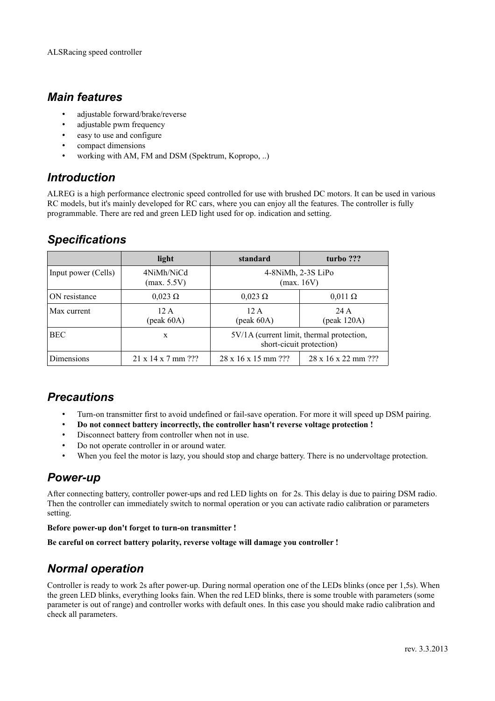### *Main features*

- adjustable forward/brake/reverse
- adjustable pwm frequency
- easy to use and configure
- compact dimensions
- working with AM, FM and DSM (Spektrum, Kopropo, ..)

## *Introduction*

ALREG is a high performance electronic speed controlled for use with brushed DC motors. It can be used in various RC models, but it's mainly developed for RC cars, where you can enjoy all the features. The controller is fully programmable. There are red and green LED light used for op. indication and setting.

# *Specifications*

|                     | light                             | standard                                                                | turbo ???                            |
|---------------------|-----------------------------------|-------------------------------------------------------------------------|--------------------------------------|
| Input power (Cells) | 4NiMh/NiCd<br>(max. 5.5V)         | 4-8NiMh, 2-3S LiPo<br>(max. 16V)                                        |                                      |
| ON resistance       | $0,023 \Omega$                    | $0.023 \Omega$                                                          | $0.011 \Omega$                       |
| Max current         | 12A<br>$(\text{peak }60\text{A})$ | 12 A<br>$(\text{peak }60\text{A})$                                      | 24 A<br>$(\text{peak } 120\text{A})$ |
| <b>BEC</b>          | X                                 | $5V/1A$ (current limit, thermal protection,<br>short-cicuit protection) |                                      |
| Dimensions          | $21 \times 14 \times 7$ mm ???    | $28 \times 16 \times 15$ mm $?$ ?                                       | $28 \times 16 \times 22$ mm $?$ ?    |

# *Precautions*

- Turn-on transmitter first to avoid undefined or fail-save operation. For more it will speed up DSM pairing.
- **Do not connect battery incorrectly, the controller hasn't reverse voltage protection !**
- Disconnect battery from controller when not in use.
- Do not operate controller in or around water.
- When you feel the motor is lazy, you should stop and charge battery. There is no undervoltage protection.

# *Power-up*

After connecting battery, controller power-ups and red LED lights on for 2s. This delay is due to pairing DSM radio. Then the controller can immediately switch to normal operation or you can activate radio calibration or parameters setting.

### **Before power-up don't forget to turn-on transmitter !**

**Be careful on correct battery polarity, reverse voltage will damage you controller !**

# *Normal operation*

Controller is ready to work 2s after power-up. During normal operation one of the LEDs blinks (once per 1,5s). When the green LED blinks, everything looks fain. When the red LED blinks, there is some trouble with parameters (some parameter is out of range) and controller works with default ones. In this case you should make radio calibration and check all parameters.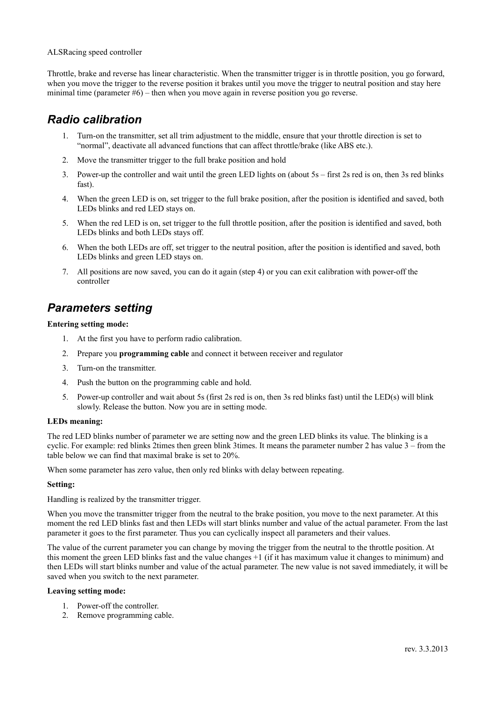#### ALSRacing speed controller

Throttle, brake and reverse has linear characteristic. When the transmitter trigger is in throttle position, you go forward, when you move the trigger to the reverse position it brakes until you move the trigger to neutral position and stay here minimal time (parameter #6) – then when you move again in reverse position you go reverse.

### *Radio calibration*

- 1. Turn-on the transmitter, set all trim adjustment to the middle, ensure that your throttle direction is set to "normal", deactivate all advanced functions that can affect throttle/brake (like ABS etc.).
- 2. Move the transmitter trigger to the full brake position and hold
- 3. Power-up the controller and wait until the green LED lights on (about 5s first 2s red is on, then 3s red blinks fast).
- 4. When the green LED is on, set trigger to the full brake position, after the position is identified and saved, both LEDs blinks and red LED stays on.
- 5. When the red LED is on, set trigger to the full throttle position, after the position is identified and saved, both LEDs blinks and both LEDs stays off.
- 6. When the both LEDs are off, set trigger to the neutral position, after the position is identified and saved, both LEDs blinks and green LED stays on.
- 7. All positions are now saved, you can do it again (step 4) or you can exit calibration with power-off the controller

## *Parameters setting*

#### **Entering setting mode:**

- 1. At the first you have to perform radio calibration.
- 2. Prepare you **programming cable** and connect it between receiver and regulator
- 3. Turn-on the transmitter.
- 4. Push the button on the programming cable and hold.
- 5. Power-up controller and wait about 5s (first 2s red is on, then 3s red blinks fast) until the LED(s) will blink slowly. Release the button. Now you are in setting mode.

#### **LEDs meaning:**

The red LED blinks number of parameter we are setting now and the green LED blinks its value. The blinking is a cyclic. For example: red blinks 2times then green blink 3times. It means the parameter number 2 has value 3 – from the table below we can find that maximal brake is set to 20%.

When some parameter has zero value, then only red blinks with delay between repeating.

#### **Setting:**

Handling is realized by the transmitter trigger.

When you move the transmitter trigger from the neutral to the brake position, you move to the next parameter. At this moment the red LED blinks fast and then LEDs will start blinks number and value of the actual parameter. From the last parameter it goes to the first parameter. Thus you can cyclically inspect all parameters and their values.

The value of the current parameter you can change by moving the trigger from the neutral to the throttle position. At this moment the green LED blinks fast and the value changes +1 (if it has maximum value it changes to minimum) and then LEDs will start blinks number and value of the actual parameter. The new value is not saved immediately, it will be saved when you switch to the next parameter.

#### **Leaving setting mode:**

- 1. Power-off the controller.
- 2. Remove programming cable.